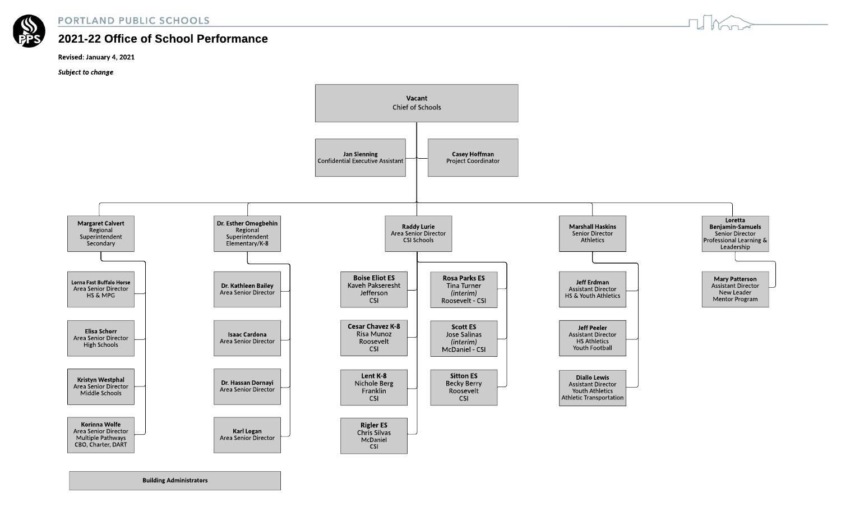

## **PORTLAND PUBLIC SCHOOLS**

## 2021-22 Office of School Performance

## Revised: January 4, 2021

**Subject** to change



**Building Administrators**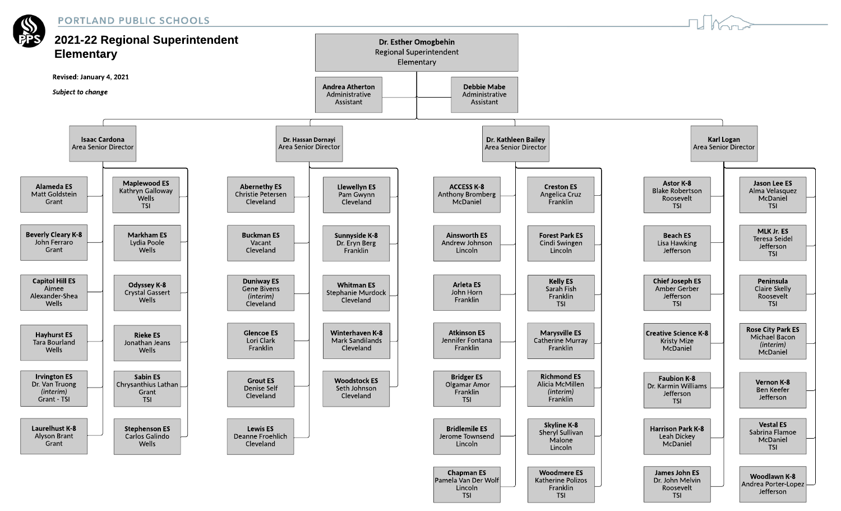







TSI

TSI

Jefferson

TSI